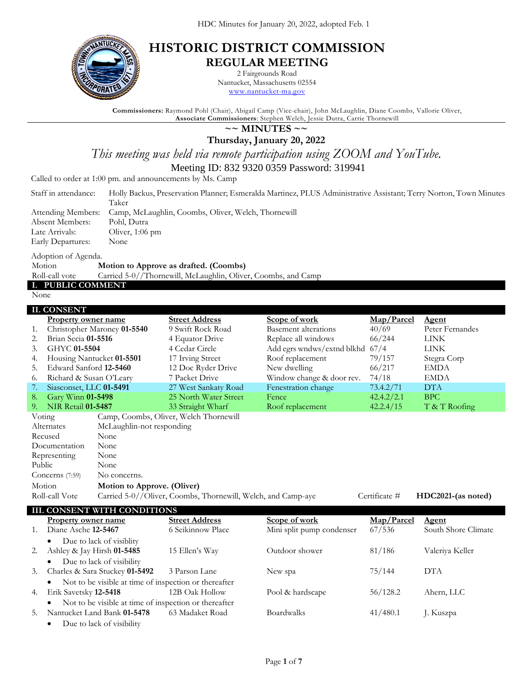

# **HISTORIC DISTRICT COMMISSION REGULAR MEETING**

2 Fairgrounds Road

Nantucket, Massachusetts 02554 [www.nantucket-ma.gov](http://www.nantucket-ma.gov/)

**Commissioners:** Raymond Pohl (Chair), Abigail Camp (Vice-chair), John McLaughlin, Diane Coombs, Vallorie Oliver, **Associate Commissioners**: Stephen Welch, Jessie Dutra, Carrie Thornewill

# **~~ MINUTES ~~**

**Thursday, January 20, 2022**

*This meeting was held via remote participation using ZOOM and YouTube.*

Meeting ID: 832 9320 0359 Password: 319941

Called to order at 1:00 pm. and announcements by Ms. Camp

| Staff in attendance: | Holly Backus, Preservation Planner; Esmeralda Martinez, PLUS Administrative Assistant; Terry Norton, Town Minutes |
|----------------------|-------------------------------------------------------------------------------------------------------------------|
|                      | Taker                                                                                                             |
|                      | Attending Members: Camp, McLaughlin, Coombs, Oliver, Welch, Thornewill                                            |
| Absent Members:      | Pohl, Dutra                                                                                                       |
| Late Arrivals:       | Oliver, 1:06 pm                                                                                                   |

Early Departures: None

Adoption of Agenda. Motion **Motion to Approve as drafted. (Coombs)** Roll-call vote Carried 5-0//Thornewill, McLaughlin, Oliver, Coombs, and Camp

**I. PUBLIC COMMENT**

None

|        | <b>II. CONSENT</b>                                |                                                       |                                                              |                                 |                      |                                     |
|--------|---------------------------------------------------|-------------------------------------------------------|--------------------------------------------------------------|---------------------------------|----------------------|-------------------------------------|
|        | <b>Property owner name</b>                        |                                                       | <b>Street Address</b>                                        | Scope of work                   | Map/Parcel           | Agent                               |
| 1.     |                                                   | Christopher Maroney 01-5540                           | 9 Swift Rock Road                                            | <b>Basement alterations</b>     | 40/69                | Peter Fernandes                     |
| 2.     | Brian Secia 01-5516                               |                                                       | 4 Equator Drive                                              | Replace all windows             | 66/244               | <b>LINK</b>                         |
| 3.     | GHYC 01-5504                                      |                                                       | 4 Cedar Circle                                               | Add egrs wndws/extnd blkhd 67/4 |                      | <b>LINK</b>                         |
| 4.     | Housing Nantucket 01-5501                         |                                                       | 17 Irving Street                                             | Roof replacement                | 79/157               | Stegra Corp                         |
| 5.     | Edward Sanford 12-5460                            |                                                       | 12 Doc Ryder Drive                                           | New dwelling                    | 66/217               | <b>EMDA</b>                         |
| 6.     | Richard & Susan O'Leary                           |                                                       | 7 Packet Drive                                               | Window change & door rev.       | 74/18                | <b>EMDA</b>                         |
| 7.     | Siasconset, LLC 01-5491                           |                                                       | 27 West Sankaty Road                                         | Fenestration change             | 73.4.2/71            | <b>DTA</b>                          |
| 8.     | Gary Winn 01-5498                                 |                                                       | 25 North Water Street                                        | Fence                           | 42.4.2/2.1           | <b>BPC</b>                          |
| 9.     | NIR Retail 01-5487                                |                                                       | 33 Straight Wharf                                            | Roof replacement                | 42.2.4/15            | T & T Roofing                       |
| Voting |                                                   |                                                       | Camp, Coombs, Oliver, Welch Thornewill                       |                                 |                      |                                     |
|        | Alternates                                        | McLaughlin-not responding                             |                                                              |                                 |                      |                                     |
|        | Recused                                           | None                                                  |                                                              |                                 |                      |                                     |
|        | Documentation                                     | None                                                  |                                                              |                                 |                      |                                     |
|        | Representing                                      | None                                                  |                                                              |                                 |                      |                                     |
| Public |                                                   | None                                                  |                                                              |                                 |                      |                                     |
|        | Concerns (7:59)                                   | No concerns.                                          |                                                              |                                 |                      |                                     |
|        | Motion                                            | Motion to Approve. (Oliver)                           |                                                              |                                 |                      |                                     |
|        | Roll-call Vote                                    |                                                       | Carried 5-0//Oliver, Coombs, Thornewill, Welch, and Camp-aye |                                 | Certificate #        | HDC2021-(as noted)                  |
|        |                                                   |                                                       |                                                              |                                 |                      |                                     |
|        |                                                   | <b>III. CONSENT WITH CONDITIONS</b>                   | <b>Street Address</b>                                        |                                 |                      |                                     |
|        | <b>Property owner name</b><br>Diane Asche 12-5467 |                                                       | 6 Seikinnow Place                                            | Scope of work                   | Map/Parcel<br>67/536 | <b>Agent</b><br>South Shore Climate |
|        |                                                   |                                                       |                                                              | Mini split pump condenser       |                      |                                     |
|        | $\bullet$                                         | Due to lack of visiblity                              |                                                              |                                 |                      |                                     |
| 2.     | Ashley & Jay Hirsh 01-5485                        |                                                       | 15 Ellen's Way                                               | Outdoor shower                  | 81/186               | Valeriya Keller                     |
|        |                                                   | Due to lack of visibility                             |                                                              |                                 |                      |                                     |
| 3.     |                                                   | Charles & Sara Stuckey 01-5492                        | 3 Parson Lane                                                | New spa                         | 75/144               | <b>DTA</b>                          |
|        |                                                   | Not to be visible at time of inspection or thereafter |                                                              |                                 |                      |                                     |
| 4.     | Erik Savetsky 12-5418                             |                                                       | 12B Oak Hollow                                               | Pool & hardscape                | 56/128.2             | Ahern, LLC                          |

Not to be visible at time of inspection or thereafter

5. Nantucket Land Bank **01-5478** 63 Madaket Road Boardwalks 41/480.1 J. Kuszpa

Due to lack of visibility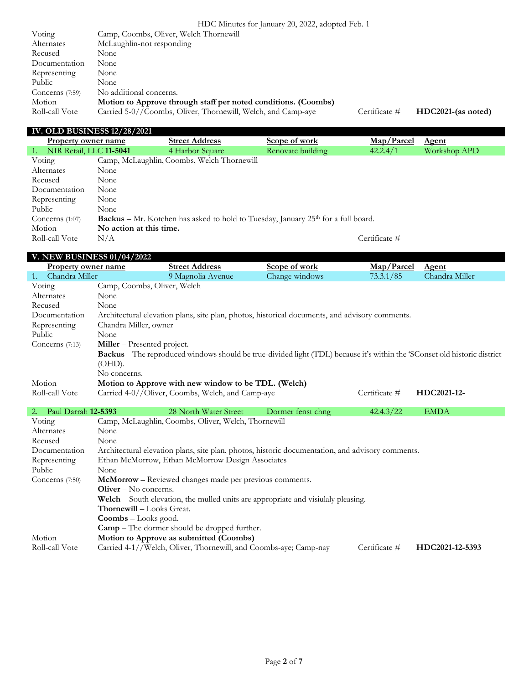|                   | HDC Minutes for January 20, 2022, adopted Feb. 1               |               |                    |  |
|-------------------|----------------------------------------------------------------|---------------|--------------------|--|
| Voting            | Camp, Coombs, Oliver, Welch Thornewill                         |               |                    |  |
| Alternates        | McLaughlin-not responding                                      |               |                    |  |
| Recused           | None                                                           |               |                    |  |
| Documentation     | None                                                           |               |                    |  |
| Representing      | None                                                           |               |                    |  |
| Public            | None                                                           |               |                    |  |
| Concerns $(7:59)$ | No additional concerns.                                        |               |                    |  |
| Motion            | Motion to Approve through staff per noted conditions. (Coombs) |               |                    |  |
| Roll-call Vote    | Carried 5-0//Coombs, Oliver, Thornewill, Welch, and Camp-aye   | Certificate # | HDC2021-(as noted) |  |

#### **IV. OLD BUSINESS 12/28/2021**

**V. NEW BUSINESS 01/04/2022**

| Property owner name           |                         | <b>Street Address</b>                      | Scope of work                                                                              | Map/Parcel    | <u>Agent</u> |
|-------------------------------|-------------------------|--------------------------------------------|--------------------------------------------------------------------------------------------|---------------|--------------|
| NIR Retail, LLC 11-5041<br>1. |                         | 4 Harbor Square                            | Renovate building                                                                          | 42.2.4/1      | Workshop APD |
| Voting                        |                         | Camp, McLaughlin, Coombs, Welch Thornewill |                                                                                            |               |              |
| Alternates                    | None                    |                                            |                                                                                            |               |              |
| Recused                       | None                    |                                            |                                                                                            |               |              |
| Documentation                 | None                    |                                            |                                                                                            |               |              |
| Representing                  | None                    |                                            |                                                                                            |               |              |
| Public                        | None                    |                                            |                                                                                            |               |              |
| Concerns $(1:07)$             |                         |                                            | <b>Backus</b> – Mr. Kotchen has asked to hold to Tuesday, January $25th$ for a full board. |               |              |
| Motion                        | No action at this time. |                                            |                                                                                            |               |              |
| Roll-call Vote                | N/A                     |                                            |                                                                                            | Certificate # |              |

### **Property owner name Street Address Scope of work Map/Parcel Agent Chandra Miller** 9 Magnolia Avenue **Change windows** 73.3.1/85 **Chandra Miller** 1. Chandra Miller 9 Magnolia Avenue Voting Camp, Coombs, Oliver, Welch Alternates None Recused None Documentation Architectural elevation plans, site plan, photos, historical documents, and advisory comments. Representing Chandra Miller, owner Public None Concerns (7:13) **Miller** – Presented project. **Backus** – The reproduced windows should be true-divided light (TDL) because it's within the 'SConset old historic district (OHD). No concerns. Motion **Motion to Approve with new window to be TDL. (Welch)** Roll-call Vote Carried 4-0//Oliver, Coombs, Welch, and Camp-aye Certificate # **HDC2021-12-**

| Paul Darrah 12-5393<br>$2^{+}$ |                                      | 28 North Water Street                                                                            | Dormer fenst chng | 42.4.3/22     | <b>EMDA</b>     |
|--------------------------------|--------------------------------------|--------------------------------------------------------------------------------------------------|-------------------|---------------|-----------------|
| Voting                         |                                      | Camp, McLaughlin, Coombs, Oliver, Welch, Thornewill                                              |                   |               |                 |
| Alternates                     | None                                 |                                                                                                  |                   |               |                 |
| Recused                        | None                                 |                                                                                                  |                   |               |                 |
| Documentation                  |                                      | Architectural elevation plans, site plan, photos, historic documentation, and advisory comments. |                   |               |                 |
| Representing                   |                                      | Ethan McMorrow, Ethan McMorrow Design Associates                                                 |                   |               |                 |
| Public                         | None                                 |                                                                                                  |                   |               |                 |
| Concerns $(7:50)$              |                                      | McMorrow - Reviewed changes made per previous comments.                                          |                   |               |                 |
|                                | $O$ liver – No concerns.             |                                                                                                  |                   |               |                 |
|                                |                                      | <b>Welch</b> – South elevation, the mulled units are appropriate and visiulaly pleasing.         |                   |               |                 |
|                                | <b>Thornewill – Looks Great.</b>     |                                                                                                  |                   |               |                 |
|                                | $\text{Coombs} - \text{Looks good.}$ |                                                                                                  |                   |               |                 |
|                                |                                      | <b>Camp</b> – The dormer should be dropped further.                                              |                   |               |                 |
| Motion                         |                                      | Motion to Approve as submitted (Coombs)                                                          |                   |               |                 |
| Roll-call Vote                 |                                      | Carried 4-1//Welch, Oliver, Thornewill, and Coombs-aye; Camp-nay                                 |                   | Certificate # | HDC2021-12-5393 |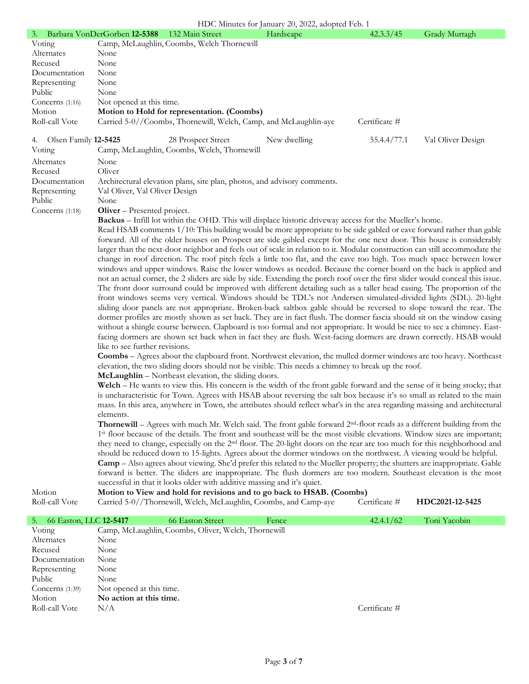### HDC Minutes for January 20, 2022, adopted Feb. 1

| 3. Barbara VonDerGorben 12-5388                                                                                               |                                                                                                                                       | 132 Main Street                                                                                                                                                                                                                                                                                                                                                                                                                                                                                                                                                                                                                                                                                                                                                                                                                                                                                                                                                                                                                                                                                                                                                                                                                                                                                                                                                                                                                                                                                                                                                                                                                                                                                                                                                                                                                                                                                                                                                                                                                                                                                                                                                                                                                                                                                                                                                                                                                                                                                                                                                                                                                                                                                                                                                                                   | HDC Minutes for January 20, 2022, adopted Feb. 1<br>Hardscape | 42.3.3/45     | Grady Murtagh     |
|-------------------------------------------------------------------------------------------------------------------------------|---------------------------------------------------------------------------------------------------------------------------------------|---------------------------------------------------------------------------------------------------------------------------------------------------------------------------------------------------------------------------------------------------------------------------------------------------------------------------------------------------------------------------------------------------------------------------------------------------------------------------------------------------------------------------------------------------------------------------------------------------------------------------------------------------------------------------------------------------------------------------------------------------------------------------------------------------------------------------------------------------------------------------------------------------------------------------------------------------------------------------------------------------------------------------------------------------------------------------------------------------------------------------------------------------------------------------------------------------------------------------------------------------------------------------------------------------------------------------------------------------------------------------------------------------------------------------------------------------------------------------------------------------------------------------------------------------------------------------------------------------------------------------------------------------------------------------------------------------------------------------------------------------------------------------------------------------------------------------------------------------------------------------------------------------------------------------------------------------------------------------------------------------------------------------------------------------------------------------------------------------------------------------------------------------------------------------------------------------------------------------------------------------------------------------------------------------------------------------------------------------------------------------------------------------------------------------------------------------------------------------------------------------------------------------------------------------------------------------------------------------------------------------------------------------------------------------------------------------------------------------------------------------------------------------------------------------|---------------------------------------------------------------|---------------|-------------------|
| Voting                                                                                                                        |                                                                                                                                       | Camp, McLaughlin, Coombs, Welch Thornewill                                                                                                                                                                                                                                                                                                                                                                                                                                                                                                                                                                                                                                                                                                                                                                                                                                                                                                                                                                                                                                                                                                                                                                                                                                                                                                                                                                                                                                                                                                                                                                                                                                                                                                                                                                                                                                                                                                                                                                                                                                                                                                                                                                                                                                                                                                                                                                                                                                                                                                                                                                                                                                                                                                                                                        |                                                               |               |                   |
| Alternates                                                                                                                    | None                                                                                                                                  |                                                                                                                                                                                                                                                                                                                                                                                                                                                                                                                                                                                                                                                                                                                                                                                                                                                                                                                                                                                                                                                                                                                                                                                                                                                                                                                                                                                                                                                                                                                                                                                                                                                                                                                                                                                                                                                                                                                                                                                                                                                                                                                                                                                                                                                                                                                                                                                                                                                                                                                                                                                                                                                                                                                                                                                                   |                                                               |               |                   |
| Recused                                                                                                                       | None                                                                                                                                  |                                                                                                                                                                                                                                                                                                                                                                                                                                                                                                                                                                                                                                                                                                                                                                                                                                                                                                                                                                                                                                                                                                                                                                                                                                                                                                                                                                                                                                                                                                                                                                                                                                                                                                                                                                                                                                                                                                                                                                                                                                                                                                                                                                                                                                                                                                                                                                                                                                                                                                                                                                                                                                                                                                                                                                                                   |                                                               |               |                   |
| Documentation                                                                                                                 | None                                                                                                                                  |                                                                                                                                                                                                                                                                                                                                                                                                                                                                                                                                                                                                                                                                                                                                                                                                                                                                                                                                                                                                                                                                                                                                                                                                                                                                                                                                                                                                                                                                                                                                                                                                                                                                                                                                                                                                                                                                                                                                                                                                                                                                                                                                                                                                                                                                                                                                                                                                                                                                                                                                                                                                                                                                                                                                                                                                   |                                                               |               |                   |
| Representing                                                                                                                  | None                                                                                                                                  |                                                                                                                                                                                                                                                                                                                                                                                                                                                                                                                                                                                                                                                                                                                                                                                                                                                                                                                                                                                                                                                                                                                                                                                                                                                                                                                                                                                                                                                                                                                                                                                                                                                                                                                                                                                                                                                                                                                                                                                                                                                                                                                                                                                                                                                                                                                                                                                                                                                                                                                                                                                                                                                                                                                                                                                                   |                                                               |               |                   |
| Public                                                                                                                        | None                                                                                                                                  |                                                                                                                                                                                                                                                                                                                                                                                                                                                                                                                                                                                                                                                                                                                                                                                                                                                                                                                                                                                                                                                                                                                                                                                                                                                                                                                                                                                                                                                                                                                                                                                                                                                                                                                                                                                                                                                                                                                                                                                                                                                                                                                                                                                                                                                                                                                                                                                                                                                                                                                                                                                                                                                                                                                                                                                                   |                                                               |               |                   |
| Concerns $(1:16)$                                                                                                             | Not opened at this time.                                                                                                              |                                                                                                                                                                                                                                                                                                                                                                                                                                                                                                                                                                                                                                                                                                                                                                                                                                                                                                                                                                                                                                                                                                                                                                                                                                                                                                                                                                                                                                                                                                                                                                                                                                                                                                                                                                                                                                                                                                                                                                                                                                                                                                                                                                                                                                                                                                                                                                                                                                                                                                                                                                                                                                                                                                                                                                                                   |                                                               |               |                   |
| Motion                                                                                                                        |                                                                                                                                       | Motion to Hold for representation. (Coombs)                                                                                                                                                                                                                                                                                                                                                                                                                                                                                                                                                                                                                                                                                                                                                                                                                                                                                                                                                                                                                                                                                                                                                                                                                                                                                                                                                                                                                                                                                                                                                                                                                                                                                                                                                                                                                                                                                                                                                                                                                                                                                                                                                                                                                                                                                                                                                                                                                                                                                                                                                                                                                                                                                                                                                       |                                                               |               |                   |
| Roll-call Vote                                                                                                                |                                                                                                                                       |                                                                                                                                                                                                                                                                                                                                                                                                                                                                                                                                                                                                                                                                                                                                                                                                                                                                                                                                                                                                                                                                                                                                                                                                                                                                                                                                                                                                                                                                                                                                                                                                                                                                                                                                                                                                                                                                                                                                                                                                                                                                                                                                                                                                                                                                                                                                                                                                                                                                                                                                                                                                                                                                                                                                                                                                   |                                                               | Certificate # |                   |
| Olsen Family 12-5425<br>4.<br>Voting<br>Alternates<br>Recused<br>Documentation<br>Representing<br>Public<br>Concerns $(1:18)$ | None<br>Oliver<br>Val Oliver, Val Oliver Design<br>None<br>Oliver - Presented project.<br>like to see further revisions.<br>elements. | Carried 5-0//Coombs, Thornewill, Welch, Camp, and McLaughlin-aye<br>28 Prospect Street<br>Camp, McLaughlin, Coombs, Welch, Thornewill<br>Architectural elevation plans, site plan, photos, and advisory comments.<br><b>Backus</b> – Infill lot within the OHD. This will displace historic driveway access for the Mueller's home.<br>Read HSAB comments 1/10: This building would be more appropriate to be side gabled or eave forward rather than gable<br>forward. All of the older houses on Prospect are side gabled except for the one next door. This house is considerably<br>larger than the next-door neighbor and feels out of scale in relation to it. Modular construction can still accommodate the<br>change in roof direction. The roof pitch feels a little too flat, and the eave too high. Too much space between lower<br>windows and upper windows. Raise the lower windows as needed. Because the corner board on the back is applied and<br>not an actual corner, the 2 sliders are side by side. Extending the porch roof over the first slider would conceal this issue.<br>The front door surround could be improved with different detailing such as a taller head casing. The proportion of the<br>front windows seems very vertical. Windows should be TDL's not Andersen simulated-divided lights (SDL). 20-light<br>sliding door panels are not appropriate. Broken-back saltbox gable should be reversed to slope toward the rear. The<br>dormer profiles are mostly shown as set back. They are in fact flush. The dormer fascia should sit on the window casing<br>without a shingle course between. Clapboard is too formal and not appropriate. It would be nice to see a chimney. East-<br>facing dormers are shown set back when in fact they are flush. West-facing dormers are drawn correctly. HSAB would<br>Coombs - Agrees about the clapboard front. Northwest elevation, the mulled dormer windows are too heavy. Northeast<br>elevation, the two sliding doors should not be visible. This needs a chimney to break up the roof.<br>McLaughlin - Northeast elevation, the sliding doors.<br>Welch – He wants to view this. His concern is the width of the front gable forward and the sense of it being stocky; that<br>is uncharacteristic for Town. Agrees with HSAB about reversing the salt box because it's so small as related to the main<br>mass. In this area, anywhere in Town, the attributes should reflect what's in the area regarding massing and architectural<br><b>Thornewill</b> – Agrees with much Mr. Welch said. The front gable forward $2nd$ -floor reads as a different building from the<br>1st floor because of the details. The front and southeast will be the most visible elevations. Window sizes are important; | New dwelling                                                  | 55.4.4/77.1   | Val Oliver Design |
|                                                                                                                               |                                                                                                                                       | they need to change, especially on the 2 <sup>nd</sup> floor. The 20-light doors on the rear are too much for this neighborhood and<br>should be reduced down to 15-lights. Agrees about the dormer windows on the northwest. A viewing would be helpful.<br><b>Camp</b> – Also agrees about viewing. She'd prefer this related to the Mueller property; the shutters are inappropriate. Gable                                                                                                                                                                                                                                                                                                                                                                                                                                                                                                                                                                                                                                                                                                                                                                                                                                                                                                                                                                                                                                                                                                                                                                                                                                                                                                                                                                                                                                                                                                                                                                                                                                                                                                                                                                                                                                                                                                                                                                                                                                                                                                                                                                                                                                                                                                                                                                                                    |                                                               |               |                   |
|                                                                                                                               |                                                                                                                                       | forward is better. The sliders are inappropriate. The flush dormers are too modern. Southeast elevation is the most<br>successful in that it looks older with additive massing and it's quiet.                                                                                                                                                                                                                                                                                                                                                                                                                                                                                                                                                                                                                                                                                                                                                                                                                                                                                                                                                                                                                                                                                                                                                                                                                                                                                                                                                                                                                                                                                                                                                                                                                                                                                                                                                                                                                                                                                                                                                                                                                                                                                                                                                                                                                                                                                                                                                                                                                                                                                                                                                                                                    |                                                               |               |                   |
| Motion                                                                                                                        |                                                                                                                                       | Motion to View and hold for revisions and to go back to HSAB. (Coombs)                                                                                                                                                                                                                                                                                                                                                                                                                                                                                                                                                                                                                                                                                                                                                                                                                                                                                                                                                                                                                                                                                                                                                                                                                                                                                                                                                                                                                                                                                                                                                                                                                                                                                                                                                                                                                                                                                                                                                                                                                                                                                                                                                                                                                                                                                                                                                                                                                                                                                                                                                                                                                                                                                                                            |                                                               |               |                   |
| Roll-call Vote                                                                                                                |                                                                                                                                       | Carried 5-0//Thornewill, Welch, McLaughlin, Coombs, and Camp-aye                                                                                                                                                                                                                                                                                                                                                                                                                                                                                                                                                                                                                                                                                                                                                                                                                                                                                                                                                                                                                                                                                                                                                                                                                                                                                                                                                                                                                                                                                                                                                                                                                                                                                                                                                                                                                                                                                                                                                                                                                                                                                                                                                                                                                                                                                                                                                                                                                                                                                                                                                                                                                                                                                                                                  |                                                               | Certificate # | HDC2021-12-5425   |
| 66 Easton, LLC 12-5417<br>5.                                                                                                  |                                                                                                                                       | 66 Easton Street                                                                                                                                                                                                                                                                                                                                                                                                                                                                                                                                                                                                                                                                                                                                                                                                                                                                                                                                                                                                                                                                                                                                                                                                                                                                                                                                                                                                                                                                                                                                                                                                                                                                                                                                                                                                                                                                                                                                                                                                                                                                                                                                                                                                                                                                                                                                                                                                                                                                                                                                                                                                                                                                                                                                                                                  | Fence                                                         | 42.4.1/62     | Toni Yacobin      |

| 66 Easton, LLC 12-5417<br>5. |                          | 66 Easton Street                                    | Fence | 42.4.1/62     | Toni Yacobin |
|------------------------------|--------------------------|-----------------------------------------------------|-------|---------------|--------------|
| Voting                       |                          | Camp, McLaughlin, Coombs, Oliver, Welch, Thornewill |       |               |              |
| Alternates                   | None                     |                                                     |       |               |              |
| Recused                      | None                     |                                                     |       |               |              |
| Documentation                | None                     |                                                     |       |               |              |
| Representing                 | None                     |                                                     |       |               |              |
| Public                       | None                     |                                                     |       |               |              |
| Concerns $(1:39)$            | Not opened at this time. |                                                     |       |               |              |
| Motion                       | No action at this time.  |                                                     |       |               |              |
| Roll-call Vote               | N/A                      |                                                     |       | Certificate # |              |
|                              |                          |                                                     |       |               |              |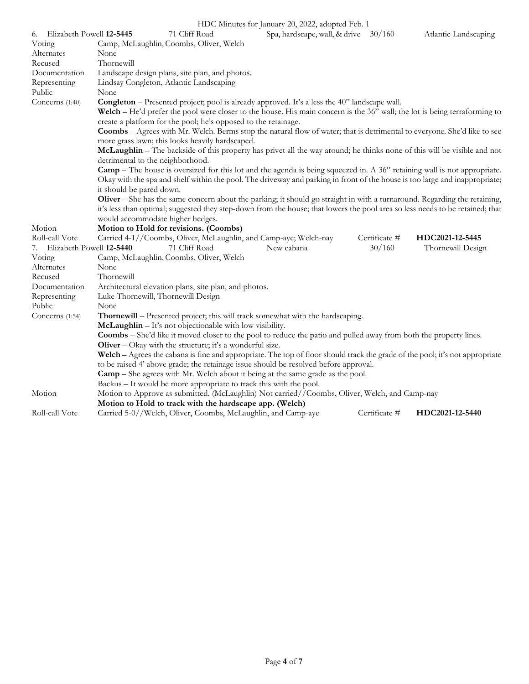|                                |                          |                                                                    | $HDC$ Minutes for January 20, 2022, adopted Feb. 1                                                                                                                                                                               |               |                      |
|--------------------------------|--------------------------|--------------------------------------------------------------------|----------------------------------------------------------------------------------------------------------------------------------------------------------------------------------------------------------------------------------|---------------|----------------------|
| Elizabeth Powell 12-5445<br>6. |                          | 71 Cliff Road                                                      | Spa, hardscape, wall, & drive 30/160                                                                                                                                                                                             |               | Atlantic Landscaping |
| Voting                         |                          | Camp, McLaughlin, Coombs, Oliver, Welch                            |                                                                                                                                                                                                                                  |               |                      |
| Alternates                     | None                     |                                                                    |                                                                                                                                                                                                                                  |               |                      |
| Recused                        | Thornewill               |                                                                    |                                                                                                                                                                                                                                  |               |                      |
| Documentation                  |                          | Landscape design plans, site plan, and photos.                     |                                                                                                                                                                                                                                  |               |                      |
| Representing                   |                          | Lindsay Congleton, Atlantic Landscaping                            |                                                                                                                                                                                                                                  |               |                      |
| Public                         | None                     |                                                                    |                                                                                                                                                                                                                                  |               |                      |
| Concerns (1:40)                |                          |                                                                    | <b>Congleton</b> – Presented project; pool is already approved. It's a less the 40" landscape wall.<br>Welch – He'd prefer the pool were closer to the house. His main concern is the 36" wall; the lot is being terraforming to |               |                      |
|                                |                          | create a platform for the pool; he's opposed to the retainage.     |                                                                                                                                                                                                                                  |               |                      |
|                                |                          |                                                                    | Coombs - Agrees with Mr. Welch. Berms stop the natural flow of water; that is detrimental to everyone. She'd like to see                                                                                                         |               |                      |
|                                |                          | more grass lawn; this looks heavily hardscaped.                    |                                                                                                                                                                                                                                  |               |                      |
|                                |                          |                                                                    | McLaughlin – The backside of this property has privet all the way around; he thinks none of this will be visible and not                                                                                                         |               |                      |
|                                |                          | detrimental to the neighborhood.                                   |                                                                                                                                                                                                                                  |               |                      |
|                                |                          |                                                                    | <b>Camp</b> – The house is oversized for this lot and the agenda is being squeezed in. A 36" retaining wall is not appropriate.                                                                                                  |               |                      |
|                                |                          |                                                                    | Okay with the spa and shelf within the pool. The driveway and parking in front of the house is too large and inappropriate;                                                                                                      |               |                      |
|                                | it should be pared down. |                                                                    |                                                                                                                                                                                                                                  |               |                      |
|                                |                          |                                                                    | Oliver – She has the same concern about the parking; it should go straight in with a turnaround. Regarding the retaining,                                                                                                        |               |                      |
|                                |                          |                                                                    | it's less than optimal; suggested they step-down from the house; that lowers the pool area so less needs to be retained; that                                                                                                    |               |                      |
|                                |                          | would accommodate higher hedges.                                   |                                                                                                                                                                                                                                  |               |                      |
| Motion                         |                          | Motion to Hold for revisions. (Coombs)                             |                                                                                                                                                                                                                                  |               |                      |
| Roll-call Vote                 |                          | Carried 4-1//Coombs, Oliver, McLaughlin, and Camp-aye; Welch-nay   |                                                                                                                                                                                                                                  | Certificate # | HDC2021-12-5445      |
| 7. Elizabeth Powell 12-5440    |                          | 71 Cliff Road                                                      | New cabana                                                                                                                                                                                                                       | 30/160        | Thornewill Design    |
| Voting                         |                          | Camp, McLaughlin, Coombs, Oliver, Welch                            |                                                                                                                                                                                                                                  |               |                      |
| Alternates                     | None                     |                                                                    |                                                                                                                                                                                                                                  |               |                      |
| Recused                        | Thornewill               |                                                                    |                                                                                                                                                                                                                                  |               |                      |
| Documentation                  |                          | Architectural elevation plans, site plan, and photos.              |                                                                                                                                                                                                                                  |               |                      |
| Representing                   |                          | Luke Thornewill, Thornewill Design                                 |                                                                                                                                                                                                                                  |               |                      |
| Public                         | None                     |                                                                    |                                                                                                                                                                                                                                  |               |                      |
| Concerns (1:54)                |                          |                                                                    | Thornewill - Presented project; this will track somewhat with the hardscaping.                                                                                                                                                   |               |                      |
|                                |                          | McLaughlin - It's not objectionable with low visibility.           |                                                                                                                                                                                                                                  |               |                      |
|                                |                          |                                                                    | Coombs - She'd like it moved closer to the pool to reduce the patio and pulled away from both the property lines.                                                                                                                |               |                      |
|                                |                          | Oliver - Okay with the structure; it's a wonderful size.           |                                                                                                                                                                                                                                  |               |                      |
|                                |                          |                                                                    | Welch – Agrees the cabana is fine and appropriate. The top of floor should track the grade of the pool; it's not appropriate<br>to be raised 4' above grade; the retainage issue should be resolved before approval.             |               |                      |
|                                |                          |                                                                    | <b>Camp</b> – She agrees with Mr. Welch about it being at the same grade as the pool.                                                                                                                                            |               |                      |
|                                |                          | Backus - It would be more appropriate to track this with the pool. |                                                                                                                                                                                                                                  |               |                      |
| Motion                         |                          |                                                                    | Motion to Approve as submitted. (McLaughlin) Not carried//Coombs, Oliver, Welch, and Camp-nay                                                                                                                                    |               |                      |
|                                |                          | Motion to Hold to track with the hardscape app. (Welch)            |                                                                                                                                                                                                                                  |               |                      |
| Roll-call Vote                 |                          | Carried 5-0//Welch, Oliver, Coombs, McLaughlin, and Camp-aye       |                                                                                                                                                                                                                                  | Certificate # | HDC2021-12-5440      |
|                                |                          |                                                                    |                                                                                                                                                                                                                                  |               |                      |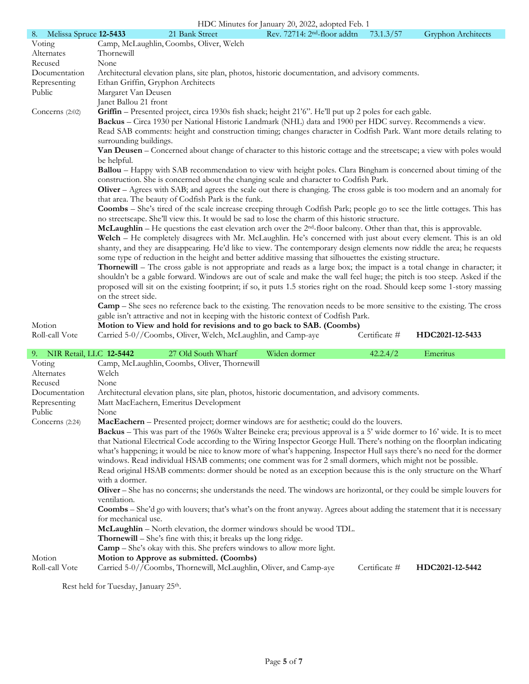|                              |                                                                                                                         |                                                              | HDC Minutes for January 20, 2022, adopted Feb. 1                                                                                |               |                    |  |
|------------------------------|-------------------------------------------------------------------------------------------------------------------------|--------------------------------------------------------------|---------------------------------------------------------------------------------------------------------------------------------|---------------|--------------------|--|
| Melissa Spruce 12-5433<br>8. |                                                                                                                         | 21 Bank Street                                               | Rev. 72714: 2 <sup>nd</sup> -floor addtn                                                                                        | 73.1.3/57     | Gryphon Architects |  |
| Voting                       |                                                                                                                         | Camp, McLaughlin, Coombs, Oliver, Welch                      |                                                                                                                                 |               |                    |  |
| Alternates                   | Thornewill                                                                                                              |                                                              |                                                                                                                                 |               |                    |  |
| Recused                      | None                                                                                                                    |                                                              |                                                                                                                                 |               |                    |  |
| Documentation                | Architectural elevation plans, site plan, photos, historic documentation, and advisory comments.                        |                                                              |                                                                                                                                 |               |                    |  |
| Representing                 |                                                                                                                         | Ethan Griffin, Gryphon Architects                            |                                                                                                                                 |               |                    |  |
| Public                       | Margaret Van Deusen                                                                                                     |                                                              |                                                                                                                                 |               |                    |  |
|                              | Janet Ballou 21 front                                                                                                   |                                                              |                                                                                                                                 |               |                    |  |
| Concerns $(2:02)$            |                                                                                                                         |                                                              | Griffin - Presented project, circa 1930s fish shack; height 21'6". He'll put up 2 poles for each gable.                         |               |                    |  |
|                              |                                                                                                                         |                                                              | Backus - Circa 1930 per National Historic Landmark (NHL) data and 1900 per HDC survey. Recommends a view.                       |               |                    |  |
|                              |                                                                                                                         |                                                              | Read SAB comments: height and construction timing; changes character in Codfish Park. Want more details relating to             |               |                    |  |
|                              | surrounding buildings.                                                                                                  |                                                              |                                                                                                                                 |               |                    |  |
|                              |                                                                                                                         |                                                              | Van Deusen – Concerned about change of character to this historic cottage and the streetscape; a view with poles would          |               |                    |  |
|                              | be helpful.                                                                                                             |                                                              |                                                                                                                                 |               |                    |  |
|                              |                                                                                                                         |                                                              | <b>Ballou</b> – Happy with SAB recommendation to view with height poles. Clara Bingham is concerned about timing of the         |               |                    |  |
|                              |                                                                                                                         |                                                              | construction. She is concerned about the changing scale and character to Codfish Park.                                          |               |                    |  |
|                              |                                                                                                                         | that area. The beauty of Codfish Park is the funk.           | <b>Oliver</b> – Agrees with SAB; and agrees the scale out there is changing. The cross gable is too modern and an anomaly for   |               |                    |  |
|                              |                                                                                                                         |                                                              | <b>Coombs</b> – She's tired of the scale increase creeping through Codfish Park; people go to see the little cottages. This has |               |                    |  |
|                              |                                                                                                                         |                                                              | no streetscape. She'll view this. It would be sad to lose the charm of this historic structure.                                 |               |                    |  |
|                              |                                                                                                                         |                                                              | <b>McLaughlin</b> – He questions the east elevation arch over the $2nd$ -floor balcony. Other than that, this is approvable.    |               |                    |  |
|                              | Welch - He completely disagrees with Mr. McLaughlin. He's concerned with just about every element. This is an old       |                                                              |                                                                                                                                 |               |                    |  |
|                              | shanty, and they are disappearing. He'd like to view. The contemporary design elements now riddle the area; he requests |                                                              |                                                                                                                                 |               |                    |  |
|                              |                                                                                                                         |                                                              | some type of reduction in the height and better additive massing that silhouettes the existing structure.                       |               |                    |  |
|                              |                                                                                                                         |                                                              | Thornewill - The cross gable is not appropriate and reads as a large box; the impact is a total change in character; it         |               |                    |  |
|                              |                                                                                                                         |                                                              | shouldn't be a gable forward. Windows are out of scale and make the wall feel huge; the pitch is too steep. Asked if the        |               |                    |  |
|                              |                                                                                                                         |                                                              | proposed will sit on the existing footprint; if so, it puts 1.5 stories right on the road. Should keep some 1-story massing     |               |                    |  |
|                              | on the street side.                                                                                                     |                                                              |                                                                                                                                 |               |                    |  |
|                              |                                                                                                                         |                                                              | <b>Camp</b> – She sees no reference back to the existing. The renovation needs to be more sensitive to the existing. The cross  |               |                    |  |
|                              |                                                                                                                         |                                                              | gable isn't attractive and not in keeping with the historic context of Codfish Park.                                            |               |                    |  |
| Motion                       |                                                                                                                         |                                                              | Motion to View and hold for revisions and to go back to SAB. (Coombs)                                                           |               |                    |  |
| Roll-call Vote               |                                                                                                                         | Carried 5-0//Coombs, Oliver, Welch, McLaughlin, and Camp-aye |                                                                                                                                 | Certificate # | HDC2021-12-5433    |  |

| 9. NIR Retail, LLC 12-5442 |                     | 27 Old South Wharf                                                                                                               | Widen dormer | 42.2.4/2      | Emeritus        |
|----------------------------|---------------------|----------------------------------------------------------------------------------------------------------------------------------|--------------|---------------|-----------------|
| Voting                     |                     | Camp, McLaughlin, Coombs, Oliver, Thornewill                                                                                     |              |               |                 |
| Alternates                 | Welch               |                                                                                                                                  |              |               |                 |
| Recused                    | None                |                                                                                                                                  |              |               |                 |
| Documentation              |                     | Architectural elevation plans, site plan, photos, historic documentation, and advisory comments.                                 |              |               |                 |
| Representing               |                     | Matt MacEachern, Emeritus Development                                                                                            |              |               |                 |
| Public                     | None                |                                                                                                                                  |              |               |                 |
| Concerns $(2:24)$          |                     | MacEachern - Presented project; dormer windows are for aesthetic; could do the louvers.                                          |              |               |                 |
|                            |                     | Backus - This was part of the 1960s Walter Beineke era; previous approval is a 5' wide dormer to 16' wide. It is to meet         |              |               |                 |
|                            |                     | that National Electrical Code according to the Wiring Inspector George Hull. There's nothing on the floorplan indicating         |              |               |                 |
|                            |                     | what's happening; it would be nice to know more of what's happening. Inspector Hull says there's no need for the dormer          |              |               |                 |
|                            |                     | windows. Read individual HSAB comments; one comment was for 2 small dormers, which might not be possible.                        |              |               |                 |
|                            |                     | Read original HSAB comments: dormer should be noted as an exception because this is the only structure on the Wharf              |              |               |                 |
|                            | with a dormer.      |                                                                                                                                  |              |               |                 |
|                            | ventilation.        | Oliver – She has no concerns; she understands the need. The windows are horizontal, or they could be simple louvers for          |              |               |                 |
|                            | for mechanical use. | <b>Coombs</b> – She'd go with louvers; that's what's on the front anyway. Agrees about adding the statement that it is necessary |              |               |                 |
|                            |                     | McLaughlin - North elevation, the dormer windows should be wood TDL.                                                             |              |               |                 |
|                            |                     | <b>Thornewill</b> – She's fine with this; it breaks up the long ridge.                                                           |              |               |                 |
|                            |                     | <b>Camp</b> – She's okay with this. She prefers windows to allow more light.                                                     |              |               |                 |
| Motion                     |                     | Motion to Approve as submitted. (Coombs)                                                                                         |              |               |                 |
| Roll-call Vote             |                     | Carried 5-0//Coombs, Thornewill, McLaughlin, Oliver, and Camp-aye                                                                |              | Certificate # | HDC2021-12-5442 |
|                            |                     |                                                                                                                                  |              |               |                 |

Rest held for Tuesday, January 25<sup>th</sup>.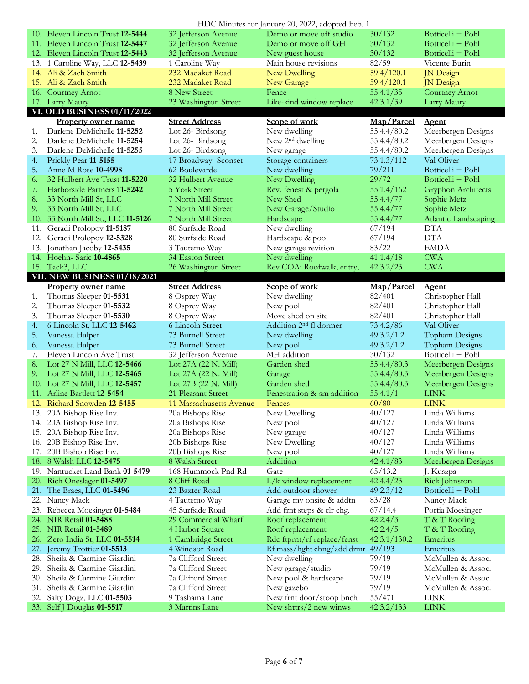|     |                                                     |                                   | HDC Minutes for January 20, 2022, adopted Feb. 1 |                      |                           |
|-----|-----------------------------------------------------|-----------------------------------|--------------------------------------------------|----------------------|---------------------------|
|     | 10. Eleven Lincoln Trust 12-5444                    | 32 Jefferson Avenue               | Demo or move off studio                          | 30/132               | Botticelli + Pohl         |
|     | 11. Eleven Lincoln Trust 12-5447                    | 32 Jefferson Avenue               | Demo or move off GH                              | 30/132               | Botticelli + Pohl         |
|     | 12. Eleven Lincoln Trust 12-5443                    | 32 Jefferson Avenue               | New guest house                                  | 30/132               | Botticelli + Pohl         |
|     | 13. 1 Caroline Way, LLC 12-5439                     | 1 Caroline Way                    | Main house revisions                             | 82/59                | Vicente Burin             |
|     | 14. Ali & Zach Smith                                | 232 Madaket Road                  | New Dwelling                                     | 59.4/120.1           | <b>JN</b> Design          |
|     | 15. Ali & Zach Smith                                | 232 Madaket Road                  | New Garage                                       | 59.4/120.1           | JN Design                 |
|     | 16. Courtney Arnot                                  | 8 New Street                      | Fence                                            | 55.4.1/35            | Courtney Arnot            |
|     | 17. Larry Maury                                     | 23 Washington Street              | Like-kind window replace                         | 42.3.1/39            | Larry Maury               |
|     | VI. OLD BUSINESS 01/11/2022                         |                                   |                                                  |                      |                           |
|     | <b>Property owner name</b>                          | <b>Street Address</b>             | Scope of work                                    | Map/Parcel           | <b>Agent</b>              |
| 1.  | Darlene DeMichelle 11-5252                          | Lot 26-Birdsong                   | New dwelling                                     | 55.4.4/80.2          | Meerbergen Designs        |
| 2.  | Darlene DeMichelle 11-5254                          | Lot 26-Birdsong                   | New 2 <sup>nd</sup> dwelling                     | 55.4.4/80.2          | Meerbergen Designs        |
| 3.  | Darlene DeMichelle 11-5255                          | Lot 26-Birdsong                   | New garage                                       | 55.4.4/80.2          | Meerbergen Designs        |
| 4.  | Prickly Pear 11-5155                                | 17 Broadway- Sconset              | Storage containers                               | 73.1.3/112           | Val Oliver                |
| 5.  | Anne M Rose 10-4998                                 | 62 Boulevarde                     | New dwelling                                     | 79/211               | Botticelli + Pohl         |
| 6.  | 32 Hulbert Ave Trust 11-5220                        | 32 Hulbert Avenue                 | New Dwelling                                     | 29/72                | Botticelli + Pohl         |
| 7.  | Harborside Partners 11-5242                         | 5 York Street                     | Rev. fenest & pergola                            | 55.1.4/162           | <b>Gryphon Architects</b> |
| 8.  | 33 North Mill St, LLC                               | 7 North Mill Street               | New Shed                                         | 55.4.4/77            | Sophie Metz               |
| 9.  | 33 North Mill St, LLC                               | 7 North Mill Street               | New Garage/Studio                                | 55.4.4/77            | Sophie Metz               |
| 10. | 33 North Mill St., LLC 11-5126                      | 7 North Mill Street               | Hardscape                                        | 55.4.4/77            | Atlantic Landscaping      |
| 11. | Geradi Prolopov 11-5187                             | 80 Surfside Road                  | New dwelling                                     | 67/194               | <b>DTA</b>                |
| 12. | Geradi Prolopov 12-5328                             | 80 Surfside Road                  | Hardscape & pool                                 | 67/194               | <b>DTA</b>                |
| 13. | Jonathan Jacoby 12-5435                             | 3 Tautemo Way                     | New garage revision                              | 83/22                | <b>EMDA</b>               |
|     | 14. Hoehn-Saric 10-4865                             | 34 Easton Street                  | New dwelling                                     | 41.1.4/18            | <b>CWA</b>                |
|     | 15. Tack3, LLC                                      | 26 Washington Street              | Rev COA: Roofwalk, entry,                        | 42.3.2/23            | <b>CWA</b>                |
|     | <b>VII. NEW BUSINESS 01/18/2021</b>                 |                                   |                                                  |                      |                           |
|     | <b>Property owner name</b>                          | <b>Street Address</b>             | Scope of work                                    | Map/Parcel           | <b>Agent</b>              |
| 1.  | Thomas Sleeper 01-5531                              | 8 Osprey Way                      | New dwelling                                     | 82/401               | Christopher Hall          |
| 2.  | Thomas Sleeper 01-5532                              | 8 Osprey Way                      | New pool                                         | 82/401               | Christopher Hall          |
|     |                                                     |                                   |                                                  |                      |                           |
| 3.  | Thomas Sleeper 01-5530                              | 8 Osprey Way                      | Move shed on site                                | 82/401               | Christopher Hall          |
| 4.  | 6 Lincoln St, LLC 12-5462                           | 6 Lincoln Street                  | Addition 2 <sup>nd</sup> fl dormer               | 73.4.2/86            | Val Oliver                |
| 5.  | Vanessa Halper                                      | 73 Burnell Street                 | New dwelling                                     | 49.3.2/1.2           | <b>Topham Designs</b>     |
| 6.  | Vanessa Halper                                      | 73 Burnell Street                 | New pool                                         | 49.3.2/1.2           | Topham Designs            |
| 7.  | Eleven Lincoln Ave Trust                            | 32 Jefferson Avenue               | MH addition                                      | 30/132               | Botticelli + Pohl         |
| 8.  | Lot 27 N Mill, LLC 12-5466                          | Lot 27A (22 N. Mill)              | Garden shed                                      | 55.4.4/80.3          | Meerbergen Designs        |
| 9.  | Lot 27 N Mill, LLC 12-5465                          | Lot 27A (22 N. Mill)              | Garage                                           | 55.4.4/80.3          | Meerbergen Designs        |
|     | 10. Lot 27 N Mill, LLC 12-5457                      | Lot 27B (22 N. Mill)              | Garden shed                                      | 55.4.4/80.3          | Meerbergen Designs        |
|     | 11. Arline Bartlett 12-5454                         | 21 Pleasant Street                | Fenestration & sm addition                       | 55.4.1/1             | <b>LINK</b>               |
|     | 12. Richard Snowden 12-5455                         | 11 Massachusetts Avenue           | Fences                                           | 60/80                | <b>LINK</b>               |
|     | 13. 20A Bishop Rise Inv.                            | 20a Bishops Rise                  | New Dwelling                                     | 40/127               | Linda Williams            |
| 14. | 20A Bishop Rise Inv.                                | 20a Bishops Rise                  | New pool                                         | 40/127               | Linda Williams            |
| 15. | 20A Bishop Rise Inv.                                | 20a Bishops Rise                  | New garage                                       | 40/127               | Linda Williams            |
| 16. | 20B Bishop Rise Inv.                                | 20b Bishops Rise                  | New Dwelling                                     | 40/127               | Linda Williams            |
| 17. | 20B Bishop Rise Inv.                                | 20b Bishops Rise                  | New pool                                         | 40/127               | Linda Williams            |
| 18. | 8 Walsh LLC 12-5475                                 | 8 Walsh Street                    | Addition                                         | 42.4.1/83            | Meerbergen Designs        |
| 19. | Nantucket Land Bank 01-5479                         | 168 Hummock Pnd Rd                | Gate                                             | 65/13.2              | J. Kuszpa                 |
| 20. | Rich Oneslager 01-5497                              | 8 Cliff Road                      | $L/k$ window replacement                         | 42.4.4/23            | Rick Johnston             |
|     | 21. The Braes, LLC 01-5496                          | 23 Baxter Road                    | Add outdoor shower                               | 49.2.3/12            | Botticelli + Pohl         |
| 23. | 22. Nancy Mack                                      | 4 Tautemo Way<br>45 Surfside Road | Garage my onsite & addtn                         | 83/28                | Nancy Mack                |
|     | Rebecca Moesinger 01-5484<br>24. NIR Retail 01-5488 | 29 Commercial Wharf               | Add frnt steps & clr chg.                        | 67/14.4              | Portia Moesinger          |
|     | 25. NIR Retail 01-5489                              | 4 Harbor Square                   | Roof replacement<br>Roof replacement             | 42.2.4/3<br>42.2.4/5 | T & T Roofing             |
|     | 26. Zero India St, LLC <b>01-5514</b>               | 1 Cambridge Street                | Rdc ftprnt/rf replace/fenst                      | 42.3.1/130.2         | T & T Roofing<br>Emeritus |
|     | 27. Jeremy Trottier 01-5513                         | 4 Windsor Road                    | Rf mass/hght chng/add drmr 49/193                |                      | Emeritus                  |
| 28. | Sheila & Carmine Giardini                           | 7a Clifford Street                | New dwelling                                     | 79/19                | McMullen & Assoc.         |
| 29. | Sheila & Carmine Giardini                           | 7a Clifford Street                | New garage/studio                                | 79/19                | McMullen & Assoc.         |
| 30. | Sheila & Carmine Giardini                           | 7a Clifford Street                | New pool & hardscape                             | 79/19                | McMullen & Assoc.         |
| 31. | Sheila & Carmine Giardini                           | 7a Clifford Street                | New gazebo                                       | 79/19                | McMullen & Assoc.         |
| 32. | Salty Dogz, LLC 01-5503                             | 9 Tashama Lane                    | New frnt door/stoop bnch                         | 55/471               | <b>LINK</b>               |